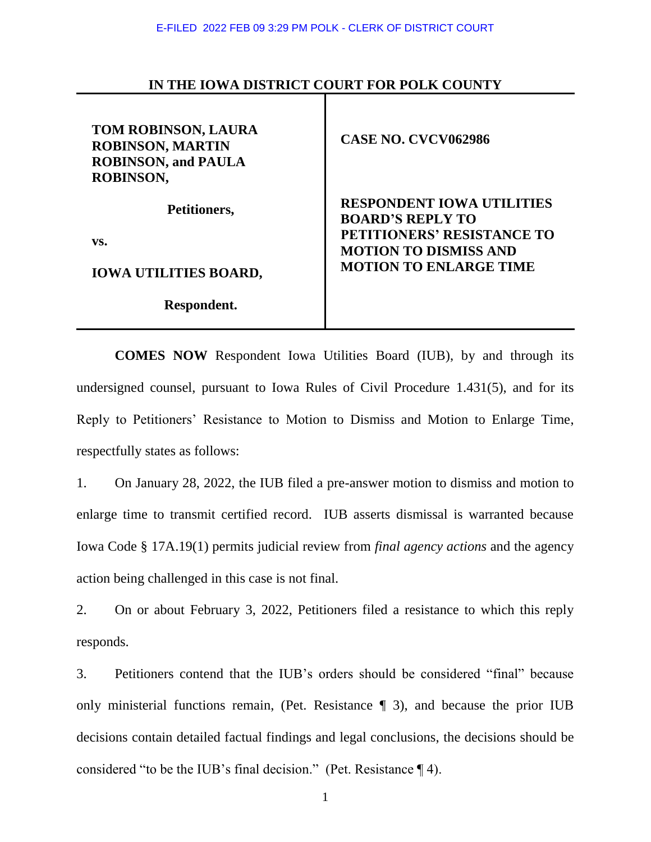## **IN THE IOWA DISTRICT COURT FOR POLK COUNTY**

| <b>TOM ROBINSON, LAURA</b><br><b>ROBINSON, MARTIN</b><br><b>ROBINSON, and PAULA</b><br>ROBINSON, | <b>CASE NO. CVCV062986</b>                                  |
|--------------------------------------------------------------------------------------------------|-------------------------------------------------------------|
| Petitioners,                                                                                     | <b>RESPONDENT IOWA UTILITIES</b><br><b>BOARD'S REPLY TO</b> |
| VS.                                                                                              | PETITIONERS' RESISTANCE TO<br><b>MOTION TO DISMISS AND</b>  |
| <b>IOWA UTILITIES BOARD,</b>                                                                     | <b>MOTION TO ENLARGE TIME</b>                               |
| Respondent.                                                                                      |                                                             |

**COMES NOW** Respondent Iowa Utilities Board (IUB), by and through its undersigned counsel, pursuant to Iowa Rules of Civil Procedure 1.431(5), and for its Reply to Petitioners' Resistance to Motion to Dismiss and Motion to Enlarge Time, respectfully states as follows:

1. On January 28, 2022, the IUB filed a pre-answer motion to dismiss and motion to enlarge time to transmit certified record. IUB asserts dismissal is warranted because Iowa Code § 17A.19(1) permits judicial review from *final agency actions* and the agency action being challenged in this case is not final.

2. On or about February 3, 2022, Petitioners filed a resistance to which this reply responds.

3. Petitioners contend that the IUB's orders should be considered "final" because only ministerial functions remain, (Pet. Resistance ¶ 3), and because the prior IUB decisions contain detailed factual findings and legal conclusions, the decisions should be considered "to be the IUB's final decision." (Pet. Resistance ¶ 4).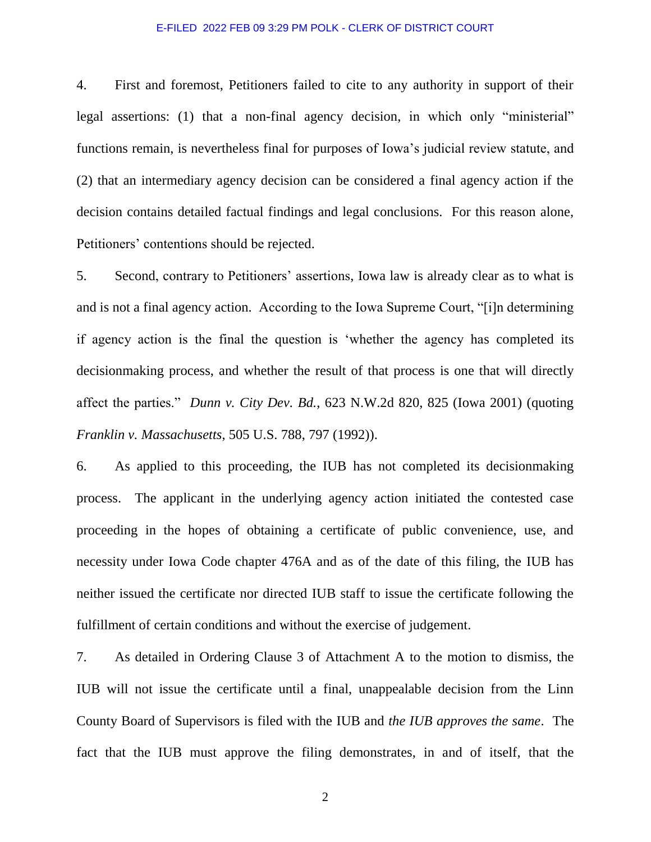## E-FILED 2022 FEB 09 3:29 PM POLK - CLERK OF DISTRICT COURT

4. First and foremost, Petitioners failed to cite to any authority in support of their legal assertions: (1) that a non-final agency decision, in which only "ministerial" functions remain, is nevertheless final for purposes of Iowa's judicial review statute, and (2) that an intermediary agency decision can be considered a final agency action if the decision contains detailed factual findings and legal conclusions. For this reason alone, Petitioners' contentions should be rejected.

5. Second, contrary to Petitioners' assertions, Iowa law is already clear as to what is and is not a final agency action. According to the Iowa Supreme Court, "[i]n determining if agency action is the final the question is 'whether the agency has completed its decisionmaking process, and whether the result of that process is one that will directly affect the parties." *Dunn v. City Dev. Bd.*, 623 N.W.2d 820, 825 (Iowa 2001) (quoting *Franklin v. Massachusetts*, 505 U.S. 788, 797 (1992)).

6. As applied to this proceeding, the IUB has not completed its decisionmaking process. The applicant in the underlying agency action initiated the contested case proceeding in the hopes of obtaining a certificate of public convenience, use, and necessity under Iowa Code chapter 476A and as of the date of this filing, the IUB has neither issued the certificate nor directed IUB staff to issue the certificate following the fulfillment of certain conditions and without the exercise of judgement.

7. As detailed in Ordering Clause 3 of Attachment A to the motion to dismiss, the IUB will not issue the certificate until a final, unappealable decision from the Linn County Board of Supervisors is filed with the IUB and *the IUB approves the same*. The fact that the IUB must approve the filing demonstrates, in and of itself, that the

2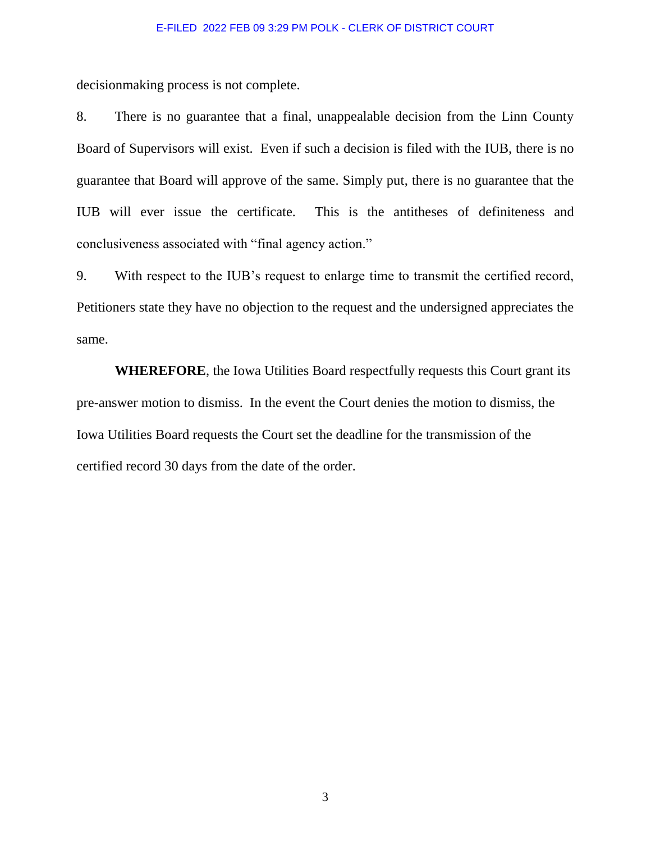## E-FILED 2022 FEB 09 3:29 PM POLK - CLERK OF DISTRICT COURT

decisionmaking process is not complete.

8. There is no guarantee that a final, unappealable decision from the Linn County Board of Supervisors will exist. Even if such a decision is filed with the IUB, there is no guarantee that Board will approve of the same. Simply put, there is no guarantee that the IUB will ever issue the certificate. This is the antitheses of definiteness and conclusiveness associated with "final agency action."

9. With respect to the IUB's request to enlarge time to transmit the certified record, Petitioners state they have no objection to the request and the undersigned appreciates the same.

**WHEREFORE**, the Iowa Utilities Board respectfully requests this Court grant its pre-answer motion to dismiss. In the event the Court denies the motion to dismiss, the Iowa Utilities Board requests the Court set the deadline for the transmission of the certified record 30 days from the date of the order.